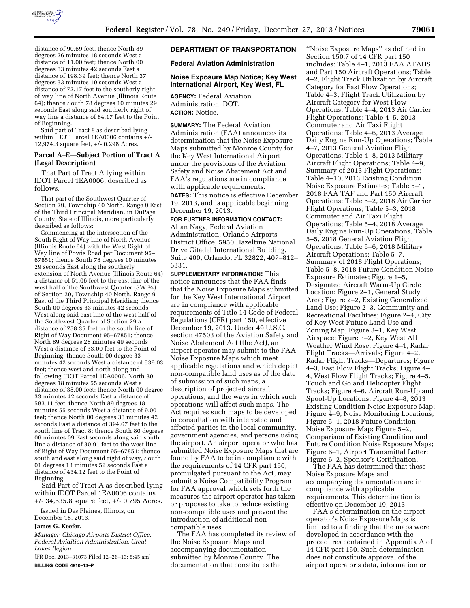

distance of 90.69 feet, thence North 89 degrees 26 minutes 18 seconds West a distance of 11.00 feet; thence North 00 degrees 33 minutes 42 seconds East a distance of 198.39 feet; thence North 37 degrees 33 minutes 19 seconds West a distance of 72.17 feet to the southerly right of way line of North Avenue (Illinois Route 64); thence South 78 degrees 10 minutes 29 seconds East along said southerly right of way line a distance of 84.17 feet to the Point of Beginning.

Said part of Tract 8 as described lying within IDOT Parcel 1EA0006 contains +/- 12,974.3 square feet, +/- 0.298 Acres.

### **Parcel A–E—Subject Portion of Tract A (Legal Description)**

That Part of Tract A lying within IDOT Parcel 1EA0006, described as follows.

That part of the Southwest Quarter of Section 29, Township 40 North, Range 9 East of the Third Principal Meridian, in DuPage County, State of Illinois, more particularly described as follows:

Commencing at the intersection of the South Right of Way line of North Avenue (Illinois Route 64) with the West Right of Way line of Powis Road per Document 95– 67851; thence South 78 degrees 10 minutes 29 seconds East along the southerly extension of North Avenue (Illinois Route 64) a distance of 51.06 feet to the east line of the west half of the Southwest Quarter (SW 1⁄4) of Section 29, Township 40 North, Range 9 East of the Third Principal Meridian; thence South 00 degrees 33 minutes 42 seconds West along said east line of the west half of the Southwest Quarter of Section 29 a distance of 758.35 feet to the south line of Right of Way Document 95–67851; thence North 89 degrees 28 minutes 49 seconds West a distance of 33.00 feet to the Point of Beginning: thence South 00 degree 33 minutes 42 seconds West a distance of 539.03 feet; thence west and north along and following IDOT Parcel 1EA0006, North 89 degrees 18 minutes 55 seconds West a distance of 35.00 feet: thence North 00 degree 33 minutes 42 seconds East a distance of 583.11 feet; thence North 89 degrees 18 minutes 55 seconds West a distance of 9.00 feet; thence North 00 degrees 33 minutes 42 seconds East a distance of 394.67 feet to the south line of Tract 8; thence South 80 degrees 06 minutes 09 East seconds along said south line a distance of 30.91 feet to the west line of Right of Way Document 95–67851; thence south and east along said right of way, South 01 degrees 13 minutes 52 seconds East a distance of 434.12 feet to the Point of Beginning.

Said Part of Tract A as described lying within IDOT Parcel 1EA0006 contains +/- 34,635.8 square feet, +/- 0.795 Acres.

Issued in Des Plaines, Illinois, on December 18, 2013.

#### **James G. Keefer,**

*Manager, Chicago Airports District Office, Federal Aviaition Administration, Great Lakes Region.* 

[FR Doc. 2013–31073 Filed 12–26–13; 8:45 am] **BILLING CODE 4910–13–P** 

# **DEPARTMENT OF TRANSPORTATION**

# **Federal Aviation Administration**

## **Noise Exposure Map Notice; Key West International Airport, Key West, FL**

**AGENCY:** Federal Aviation Administration, DOT. **ACTION:** Notice.

**SUMMARY:** The Federal Aviation Administration (FAA) announces its determination that the Noise Exposure Maps submitted by Monroe County for the Key West International Airport under the provisions of the Aviation Safety and Noise Abatement Act and FAA's regulations are in compliance with applicable requirements.

**DATES:** This notice is effective December 19, 2013, and is applicable beginning December 19, 2013.

#### **FOR FURTHER INFORMATION CONTACT:**

Allan Nagy, Federal Aviation Administration, Orlando Airports District Office, 5950 Hazeltine National Drive Citadel International Building, Suite 400, Orlando, FL 32822, 407–812– 6331.

**SUPPLEMENTARY INFORMATION:** This notice announces that the FAA finds that the Noise Exposure Maps submitted for the Key West International Airport are in compliance with applicable requirements of Title 14 Code of Federal Regulations (CFR) part 150, effective December 19, 2013. Under 49 U.S.C. section 47503 of the Aviation Safety and Noise Abatement Act (the Act), an airport operator may submit to the FAA Noise Exposure Maps which meet applicable regulations and which depict non-compatible land uses as of the date of submission of such maps, a description of projected aircraft operations, and the ways in which such operations will affect such maps. The Act requires such maps to be developed in consultation with interested and affected parties in the local community, government agencies, and persons using the airport. An airport operator who has submitted Noise Exposure Maps that are found by FAA to be in compliance with the requirements of 14 CFR part 150, promulgated pursuant to the Act, may submit a Noise Compatibility Program for FAA approval which sets forth the measures the airport operator has taken or proposes to take to reduce existing non-compatible uses and prevent the introduction of additional noncompatible uses.

The FAA has completed its review of the Noise Exposure Maps and accompanying documentation submitted by Monroe County. The documentation that constitutes the

''Noise Exposure Maps'' as defined in Section 150.7 of 14 CFR part 150 includes: Table 4–1, 2013 FAA ATADS and Part 150 Aircraft Operations; Table 4–2, Flight Track Utilization by Aircraft Category for East Flow Operations; Table 4–3, Flight Track Utilization by Aircraft Category for West Flow Operations; Table 4–4, 2013 Air Carrier Flight Operations; Table 4–5, 2013 Commuter and Air Taxi Flight Operations; Table 4–6, 2013 Average Daily Engine Run-Up Operations; Table 4–7, 2013 General Aviation Flight Operations; Table 4–8, 2013 Military Aircraft Flight Operations; Table 4–9, Summary of 2013 Flight Operations; Table 4–10, 2013 Existing Condition Noise Exposure Estimates; Table 5–1, 2018 FAA TAF and Part 150 Aircraft Operations; Table 5–2, 2018 Air Carrier Flight Operations; Table 5–3, 2018 Commuter and Air Taxi Flight Operations; Table 5–4, 2018 Average Daily Engine Run-Up Operations, Table 5–5, 2018 General Aviation Flight Operations; Table 5–6, 2018 Military Aircraft Operations; Table 5–7, Summary of 2018 Flight Operations; Table 5–8, 2018 Future Condition Noise Exposure Estimates; Figure 1–5, Designated Aircraft Warm-Up Circle Location; Figure 2–1, General Study Area; Figure 2–2, Existing Generalized Land Use; Figure 2–3, Community and Recreational Facilities; Figure 2–4, City of Key West Future Land Use and Zoning Map; Figure 3–1, Key West Airspace; Figure 3–2, Key West All Weather Wind Rose; Figure 4–1, Radar Flight Tracks—Arrivals; Figure 4–2, Radar Flight Tracks—Departures; Figure 4–3, East Flow Flight Tracks; Figure 4– 4, West Flow Flight Tracks; Figure 4–5, Touch and Go and Helicopter Flight Tracks; Figure 4–6, Aircraft Run-Up and Spool-Up Locations; Figure 4–8, 2013 Existing Condition Noise Exposure Map; Figure 4–9, Noise Monitoring Locations; Figure 5–1, 2018 Future Condition Noise Exposure Map; Figure 5–2, Comparison of Existing Condition and Future Condition Noise Exposure Maps; Figure 6–1, Airport Transmittal Letter; Figure 6–2, Sponsor's Certification.

The FAA has determined that these Noise Exposure Maps and accompanying documentation are in compliance with applicable requirements. This determination is effective on December 19, 2013.

FAA's determination on the airport operator's Noise Exposure Maps is limited to a finding that the maps were developed in accordance with the procedures contained in Appendix A of 14 CFR part 150. Such determination does not constitute approval of the airport operator's data, information or